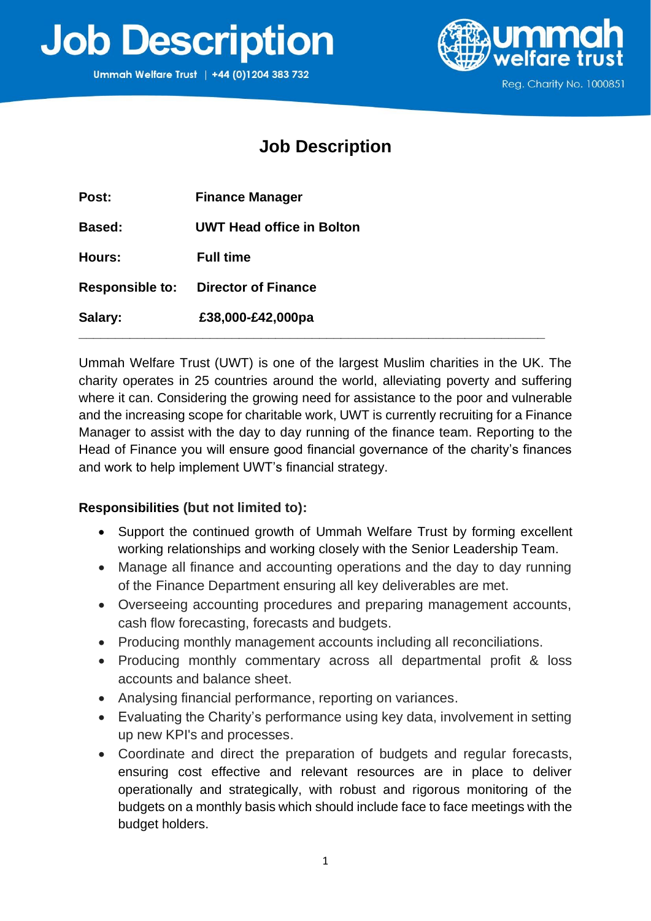



Reg. Charity No. 1000851

## **Job Description**

| Post:                  | <b>Finance Manager</b>           |
|------------------------|----------------------------------|
| <b>Based:</b>          | <b>UWT Head office in Bolton</b> |
| Hours:                 | <b>Full time</b>                 |
| <b>Responsible to:</b> | <b>Director of Finance</b>       |
| Salary:                | £38,000-£42,000pa                |

Ummah Welfare Trust (UWT) is one of the largest Muslim charities in the UK. The charity operates in 25 countries around the world, alleviating poverty and suffering where it can. Considering the growing need for assistance to the poor and vulnerable and the increasing scope for charitable work, UWT is currently recruiting for a Finance Manager to assist with the day to day running of the finance team. Reporting to the Head of Finance you will ensure good financial governance of the charity's finances and work to help implement UWT's financial strategy.

## **Responsibilities (but not limited to):**

- Support the continued growth of Ummah Welfare Trust by forming excellent working relationships and working closely with the Senior Leadership Team.
- Manage all finance and accounting operations and the day to day running of the Finance Department ensuring all key deliverables are met.
- Overseeing accounting procedures and preparing management accounts, cash flow forecasting, forecasts and budgets.
- Producing monthly management accounts including all reconciliations.
- Producing monthly commentary across all departmental profit & loss accounts and balance sheet.
- Analysing financial performance, reporting on variances.
- Evaluating the Charity's performance using key data, involvement in setting up new KPI's and processes.
- Coordinate and direct the preparation of budgets and regular forecasts, ensuring cost effective and relevant resources are in place to deliver operationally and strategically, with robust and rigorous monitoring of the budgets on a monthly basis which should include face to face meetings with the budget holders.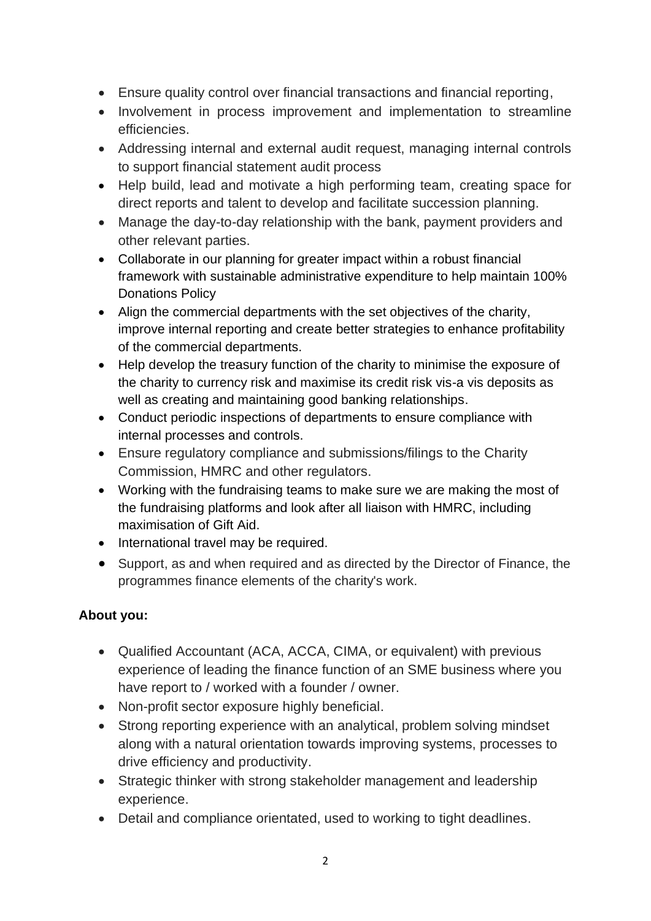- Ensure quality control over financial transactions and financial reporting,
- Involvement in process improvement and implementation to streamline efficiencies.
- Addressing internal and external audit request, managing internal controls to support financial statement audit process
- Help build, lead and motivate a high performing team, creating space for direct reports and talent to develop and facilitate succession planning.
- Manage the day-to-day relationship with the bank, payment providers and other relevant parties.
- Collaborate in our planning for greater impact within a robust financial framework with sustainable administrative expenditure to help maintain 100% Donations Policy
- Align the commercial departments with the set objectives of the charity, improve internal reporting and create better strategies to enhance profitability of the commercial departments.
- Help develop the treasury function of the charity to minimise the exposure of the charity to currency risk and maximise its credit risk vis-a vis deposits as well as creating and maintaining good banking relationships.
- Conduct periodic inspections of departments to ensure compliance with internal processes and controls.
- Ensure regulatory compliance and submissions/filings to the Charity Commission, HMRC and other regulators.
- Working with the fundraising teams to make sure we are making the most of the fundraising platforms and look after all liaison with HMRC, including maximisation of Gift Aid.
- International travel may be required.
- Support, as and when required and as directed by the Director of Finance, the programmes finance elements of the charity's work.

## **About you:**

- Qualified Accountant (ACA, ACCA, CIMA, or equivalent) with previous experience of leading the finance function of an SME business where you have report to / worked with a founder / owner.
- Non-profit sector exposure highly beneficial.
- Strong reporting experience with an analytical, problem solving mindset along with a natural orientation towards improving systems, processes to drive efficiency and productivity.
- Strategic thinker with strong stakeholder management and leadership experience.
- Detail and compliance orientated, used to working to tight deadlines.